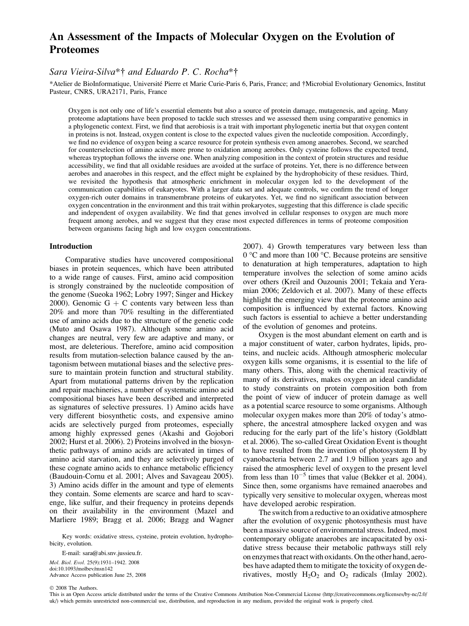# An Assessment of the Impacts of Molecular Oxygen on the Evolution of Proteomes

## Sara Vieira-Silva\*† and Eduardo P. C. Rocha\*†

\*Atelier de BioInformatique, Université Pierre et Marie Curie-Paris 6, Paris, France; and †Microbial Evolutionary Genomics, Institut Pasteur, CNRS, URA2171, Paris, France

Oxygen is not only one of life's essential elements but also a source of protein damage, mutagenesis, and ageing. Many proteome adaptations have been proposed to tackle such stresses and we assessed them using comparative genomics in a phylogenetic context. First, we find that aerobiosis is a trait with important phylogenetic inertia but that oxygen content in proteins is not. Instead, oxygen content is close to the expected values given the nucleotide composition. Accordingly, we find no evidence of oxygen being a scarce resource for protein synthesis even among anaerobes. Second, we searched for counterselection of amino acids more prone to oxidation among aerobes. Only cysteine follows the expected trend, whereas tryptophan follows the inverse one. When analyzing composition in the context of protein structures and residue accessibility, we find that all oxidable residues are avoided at the surface of proteins. Yet, there is no difference between aerobes and anaerobes in this respect, and the effect might be explained by the hydrophobicity of these residues. Third, we revisited the hypothesis that atmospheric enrichment in molecular oxygen led to the development of the communication capabilities of eukaryotes. With a larger data set and adequate controls, we confirm the trend of longer oxygen-rich outer domains in transmembrane proteins of eukaryotes. Yet, we find no significant association between oxygen concentration in the environment and this trait within prokaryotes, suggesting that this difference is clade specific and independent of oxygen availability. We find that genes involved in cellular responses to oxygen are much more frequent among aerobes, and we suggest that they erase most expected differences in terms of proteome composition between organisms facing high and low oxygen concentrations.

#### Introduction

Comparative studies have uncovered compositional biases in protein sequences, which have been attributed to a wide range of causes. First, amino acid composition is strongly constrained by the nucleotide composition of the genome (Sueoka 1962; Lobry 1997; Singer and Hickey 2000). Genomic  $G + C$  contents vary between less than 20% and more than 70% resulting in the differentiated use of amino acids due to the structure of the genetic code (Muto and Osawa 1987). Although some amino acid changes are neutral, very few are adaptive and many, or most, are deleterious. Therefore, amino acid composition results from mutation-selection balance caused by the antagonism between mutational biases and the selective pressure to maintain protein function and structural stability. Apart from mutational patterns driven by the replication and repair machineries, a number of systematic amino acid compositional biases have been described and interpreted as signatures of selective pressures. 1) Amino acids have very different biosynthetic costs, and expensive amino acids are selectively purged from proteomes, especially among highly expressed genes (Akashi and Gojobori 2002; Hurst et al. 2006). 2) Proteins involved in the biosynthetic pathways of amino acids are activated in times of amino acid starvation, and they are selectively purged of these cognate amino acids to enhance metabolic efficiency (Baudouin-Cornu et al. 2001; Alves and Savageau 2005). 3) Amino acids differ in the amount and type of elements they contain. Some elements are scarce and hard to scavenge, like sulfur, and their frequency in proteins depends on their availability in the environment (Mazel and Marliere 1989; Bragg et al. 2006; Bragg and Wagner

Key words: oxidative stress, cysteine, protein evolution, hydrophobicity, evolution.

E-mail: sara@abi.snv.jussieu.fr. Mol. Biol. Evol. 25(9):1931–1942. 2008 doi:10.1093/molbev/msn142 Advance Access publication June 25, 2008 2007). 4) Growth temperatures vary between less than  $0^{\circ}$ C and more than 100 °C. Because proteins are sensitive to denaturation at high temperatures, adaptation to high temperature involves the selection of some amino acids over others (Kreil and Ouzounis 2001; Tekaia and Yeramian 2006; Zeldovich et al. 2007). Many of these effects highlight the emerging view that the proteome amino acid composition is influenced by external factors. Knowing such factors is essential to achieve a better understanding of the evolution of genomes and proteins.

Oxygen is the most abundant element on earth and is a major constituent of water, carbon hydrates, lipids, proteins, and nucleic acids. Although atmospheric molecular oxygen kills some organisms, it is essential to the life of many others. This, along with the chemical reactivity of many of its derivatives, makes oxygen an ideal candidate to study constraints on protein composition both from the point of view of inducer of protein damage as well as a potential scarce resource to some organisms. Although molecular oxygen makes more than 20% of today's atmosphere, the ancestral atmosphere lacked oxygen and was reducing for the early part of the life's history (Goldblatt et al. 2006). The so-called Great Oxidation Event is thought to have resulted from the invention of photosystem II by cyanobacteria between 2.7 and 1.9 billion years ago and raised the atmospheric level of oxygen to the present level from less than  $10^{-5}$  times that value (Bekker et al. 2004). Since then, some organisms have remained anaerobes and typically very sensitive to molecular oxygen, whereas most have developed aerobic respiration.

The switch from a reductive to an oxidative atmosphere after the evolution of oxygenic photosynthesis must have been a massive source of environmental stress. Indeed, most contemporary obligate anaerobes are incapacitated by oxidative stress because their metabolic pathways still rely on enzymes that react with oxidants. On the other hand, aerobes have adapted them to mitigate the toxicity of oxygen derivatives, mostly  $H_2O_2$  and  $O_2$  radicals (Imlay 2002).

 $© 2008$  The Authors.

This is an Open Access article distributed under the terms of the Creative Commons Attribution Non-Commercial Licens[e \(http://creativecommons.org/licenses/by-nc/2.0/](http://creativecommons.org/licenses/by-nc/2.0/uk) [uk/\)](http://creativecommons.org/licenses/by-nc/2.0/uk) which permits unrestricted non-commercial use, distribution, and reproduction in any medium, provided the original work is properly cited.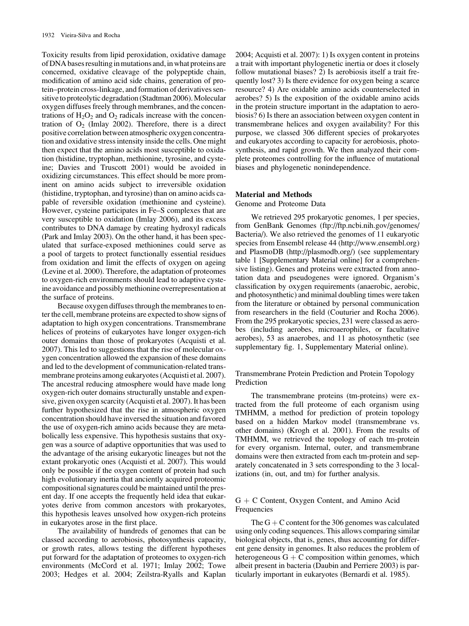Toxicity results from lipid peroxidation, oxidative damage of DNA bases resulting in mutations and, in what proteins are concerned, oxidative cleavage of the polypeptide chain, modification of amino acid side chains, generation of protein–protein cross-linkage, and formation of derivatives sensitive to proteolytic degradation (Stadtman 2006). Molecular oxygen diffuses freely through membranes, and the concentrations of  $H_2O_2$  and  $O_2$  radicals increase with the concentration of  $O_2$  (Imlay 2002). Therefore, there is a direct positive correlation between atmospheric oxygen concentration and oxidative stress intensity inside the cells. One might then expect that the amino acids most susceptible to oxidation (histidine, tryptophan, methionine, tyrosine, and cysteine; Davies and Truscott 2001) would be avoided in oxidizing circumstances. This effect should be more prominent on amino acids subject to irreversible oxidation (histidine, tryptophan, and tyrosine) than on amino acids capable of reversible oxidation (methionine and cysteine). However, cysteine participates in Fe–S complexes that are very susceptible to oxidation (Imlay 2006), and its excess contributes to DNA damage by creating hydroxyl radicals (Park and Imlay 2003). On the other hand, it has been speculated that surface-exposed methionines could serve as a pool of targets to protect functionally essential residues from oxidation and limit the effects of oxygen on ageing (Levine et al. 2000). Therefore, the adaptation of proteomes to oxygen-rich environments should lead to adaptive cysteine avoidance and possibly methionine overrepresentation at the surface of proteins.

Because oxygen diffuses through the membranes to enter the cell, membrane proteins are expected to show signs of adaptation to high oxygen concentrations. Transmembrane helices of proteins of eukaryotes have longer oxygen-rich outer domains than those of prokaryotes (Acquisti et al. 2007). This led to suggestions that the rise of molecular oxygen concentration allowed the expansion of these domains and led to the development of communication-related transmembrane proteins among eukaryotes (Acquisti et al. 2007). The ancestral reducing atmosphere would have made long oxygen-rich outer domains structurally unstable and expensive, given oxygen scarcity (Acquisti et al. 2007). It has been further hypothesized that the rise in atmospheric oxygen concentration should have inversed the situation and favored the use of oxygen-rich amino acids because they are metabolically less expensive. This hypothesis sustains that oxygen was a source of adaptive opportunities that was used to the advantage of the arising eukaryotic lineages but not the extant prokaryotic ones (Acquisti et al. 2007). This would only be possible if the oxygen content of protein had such high evolutionary inertia that anciently acquired proteomic compositional signatures could be maintained until the present day. If one accepts the frequently held idea that eukaryotes derive from common ancestors with prokaryotes, this hypothesis leaves unsolved how oxygen-rich proteins in eukaryotes arose in the first place.

The availability of hundreds of genomes that can be classed according to aerobiosis, photosynthesis capacity, or growth rates, allows testing the different hypotheses put forward for the adaptation of proteomes to oxygen-rich environments (McCord et al. 1971; Imlay 2002; Towe 2003; Hedges et al. 2004; Zeilstra-Ryalls and Kaplan 2004; Acquisti et al. 2007): 1) Is oxygen content in proteins a trait with important phylogenetic inertia or does it closely follow mutational biases? 2) Is aerobiosis itself a trait frequently lost? 3) Is there evidence for oxygen being a scarce resource? 4) Are oxidable amino acids counterselected in aerobes? 5) Is the exposition of the oxidable amino acids in the protein structure important in the adaptation to aerobiosis? 6) Is there an association between oxygen content in transmembrane helices and oxygen availability? For this purpose, we classed 306 different species of prokaryotes and eukaryotes according to capacity for aerobiosis, photosynthesis, and rapid growth. We then analyzed their complete proteomes controlling for the influence of mutational biases and phylogenetic nonindependence.

## Material and Methods

#### Genome and Proteome Data

We retrieved 295 prokaryotic genomes, 1 per species, from GenBank Genomes [\(ftp://ftp.ncbi.nih.gov/genomes/](ftp://ftp.ncbi.nih.gov/genomes/Bacteria/) [Bacteria/\)](ftp://ftp.ncbi.nih.gov/genomes/Bacteria/). We also retrieved the genomes of 11 eukaryotic species from Ensembl release 44 (<http://www.ensembl.org>) and PlasmoDB [\(http://plasmodb.org/\)](http://plasmodb.org/) (see [supplementary](supplementary table 3, Supplementary Material online) [table 1 \[Supplementary Material online\]](supplementary table 3, Supplementary Material online) for a comprehensive listing). Genes and proteins were extracted from annotation data and pseudogenes were ignored. Organism's classification by oxygen requirements (anaerobic, aerobic, and photosynthetic) and minimal doubling times were taken from the literature or obtained by personal communication from researchers in the field (Couturier and Rocha 2006). From the 295 prokaryotic species, 231 were classed as aerobes (including aerobes, microaerophiles, or facultative aerobes), 53 as anaerobes, and 11 as photosynthetic (see [supplementary fig. 1, Supplementary Material online](supplementary fig. 6, Supplementary Material online)).

## Transmembrane Protein Prediction and Protein Topology Prediction

The transmembrane proteins (tm-proteins) were extracted from the full proteome of each organism using TMHMM, a method for prediction of protein topology based on a hidden Markov model (transmembrane vs. other domains) (Krogh et al. 2001). From the results of TMHMM, we retrieved the topology of each tm-protein for every organism. Internal, outer, and transmembrane domains were then extracted from each tm-protein and separately concatenated in 3 sets corresponding to the 3 localizations (in, out, and tm) for further analysis.

## $G + C$  Content, Oxygen Content, and Amino Acid Frequencies

The  $G + C$  content for the 306 genomes was calculated using only coding sequences. This allows comparing similar biological objects, that is, genes, thus accounting for different gene density in genomes. It also reduces the problem of heterogeneous  $G + C$  composition within genomes, which albeit present in bacteria (Daubin and Perriere 2003) is particularly important in eukaryotes (Bernardi et al. 1985).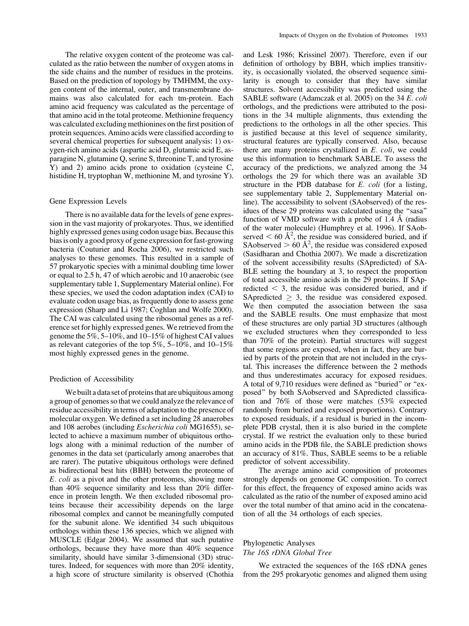The relative oxygen content of the proteome was calculated as the ratio between the number of oxygen atoms in the side chains and the number of residues in the proteins. Based on the prediction of topology by TMHMM, the oxygen content of the internal, outer, and transmembrane domains was also calculated for each tm-protein. Each amino acid frequency was calculated as the percentage of that amino acid in the total proteome. Methionine frequency was calculated excluding methionines on the first position of protein sequences. Amino acids were classified according to several chemical properties for subsequent analysis: 1) oxygen-rich amino acids (aspartic acid D, glutamic acid E, asparagine N, glutamine Q, serine S, threonine T, and tyrosine Y) and 2) amino acids prone to oxidation (cysteine C, histidine H, tryptophan W, methionine M, and tyrosine Y).

#### Gene Expression Levels

There is no available data for the levels of gene expression in the vast majority of prokaryotes. Thus, we identified highly expressed genes using codon usage bias. Because this bias is only a good proxy of gene expression for fast-growing bacteria (Couturier and Rocha 2006), we restricted such analyses to these genomes. This resulted in a sample of 57 prokaryotic species with a minimal doubling time lower or equal to 2.5 h, 47 of which aerobic and 10 anaerobic (see [supplementary table 1, Supplementary Material online\)](supplementary table 1, Supplementary Material online). For these species, we used the codon adaptation index (CAI) to evaluate codon usage bias, as frequently done to assess gene expression (Sharp and Li 1987; Coghlan and Wolfe 2000). The CAI was calculated using the ribosomal genes as a reference set for highly expressed genes. We retrieved from the genome the 5%, 5–10%, and 10–15% of highest CAI values as relevant categories of the top 5%, 5–10%, and 10–15% most highly expressed genes in the genome.

#### Prediction of Accessibility

We built a data set of proteins that are ubiquitous among a group of genomes so that we could analyze the relevance of residue accessibility in terms of adaptation to the presence of molecular oxygen. We defined a set including 28 anaerobes and 108 aerobes (including Escherichia coli MG1655), selected to achieve a maximum number of ubiquitous orthologs along with a minimal reduction of the number of genomes in the data set (particularly among anaerobes that are rarer). The putative ubiquitous orthologs were defined as bidirectional best hits (BBH) between the proteome of E. coli as a pivot and the other proteomes, showing more than 40% sequence similarity and less than 20% difference in protein length. We then excluded ribosomal proteins because their accessibility depends on the large ribosomal complex and cannot be meaningfully computed for the subunit alone. We identified 34 such ubiquitous orthologs within these 136 species, which we aligned with MUSCLE (Edgar 2004). We assumed that such putative orthologs, because they have more than 40% sequence similarity, should have similar 3-dimensional (3D) structures. Indeed, for sequences with more than 20% identity, a high score of structure similarity is observed (Chothia

and Lesk 1986; Krissinel 2007). Therefore, even if our definition of orthology by BBH, which implies transitivity, is occasionally violated, the observed sequence similarity is enough to consider that they have similar structures. Solvent accessibility was predicted using the SABLE software (Adamczak et al. 2005) on the 34 E. coli orthologs, and the predictions were attributed to the positions in the 34 multiple alignments, thus extending the predictions to the orthologs in all the other species. This is justified because at this level of sequence similarity, structural features are typically conserved. Also, because there are many proteins crystallized in E. coli, we could use this information to benchmark SABLE. To assess the accuracy of the predictions, we analyzed among the 34 orthologs the 29 for which there was an available 3D structure in the PDB database for E. coli (for a listing, see [supplementary table 2, Supplementary Material on](supplementary table 3, Supplementary Material online)[line\)](supplementary table 3, Supplementary Material online). The accessibility to solvent (SAobserved) of the residues of these 29 proteins was calculated using the ''sasa'' function of VMD software with a probe of  $1.4 \text{ Å}$  (radius of the water molecule) (Humphrey et al. 1996). If SAobserved  $< 60 \text{ Å}^2$ , the residue was considered buried, and if SAobserved  $> 60 \text{ Å}^2$ , the residue was considered exposed (Sasidharan and Chothia 2007). We made a discretization of the solvent accessibility results (SApredicted) of SA-BLE setting the boundary at 3, to respect the proportion of total accessible amino acids in the 29 proteins. If SApredicted  $\leq$  3, the residue was considered buried, and if SApredicted  $\geq$  3, the residue was considered exposed. We then computed the association between the sasa and the SABLE results. One must emphasize that most of these structures are only partial 3D structures (although we excluded structures when they corresponded to less than 70% of the protein). Partial structures will suggest that some regions are exposed, when in fact, they are buried by parts of the protein that are not included in the crystal. This increases the difference between the 2 methods and thus underestimates accuracy for exposed residues. A total of 9,710 residues were defined as ''buried'' or ''exposed'' by both SAobserved and SApredicted classification and 76% of those were matches (53% expected randomly from buried and exposed proportions). Contrary to exposed residuals, if a residual is buried in the incomplete PDB crystal, then it is also buried in the complete crystal. If we restrict the evaluation only to these buried amino acids in the PDB file, the SABLE prediction shows an accuracy of 81%. Thus, SABLE seems to be a reliable predictor of solvent accessibility.

The average amino acid composition of proteomes strongly depends on genome GC composition. To correct for this effect, the frequency of exposed amino acids was calculated as the ratio of the number of exposed amino acid over the total number of that amino acid in the concatenation of all the 34 orthologs of each species.

## Phylogenetic Analyses The 16S rDNA Global Tree

We extracted the sequences of the 16S rDNA genes from the 295 prokaryotic genomes and aligned them using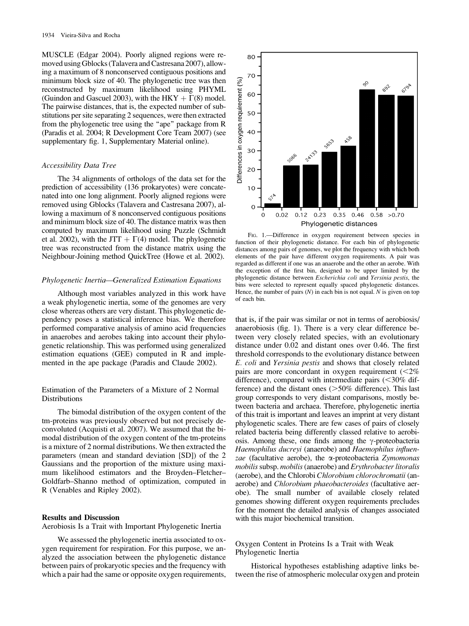MUSCLE (Edgar 2004). Poorly aligned regions were removed using Gblocks (Talavera and Castresana 2007), allowing a maximum of 8 nonconserved contiguous positions and minimum block size of 40. The phylogenetic tree was then reconstructed by maximum likelihood using PHYML (Guindon and Gascuel 2003), with the HKY  $+ \Gamma(8)$  model. The pairwise distances, that is, the expected number of substitutions per site separating 2 sequences, were then extracted from the phylogenetic tree using the "ape" package from R (Paradis et al. 2004; R Development Core Team 2007) (see [supplementary fig. 1, Supplementary Material online](supplementary fig. 6, Supplementary Material online)).

#### Accessibility Data Tree

The 34 alignments of orthologs of the data set for the prediction of accessibility (136 prokaryotes) were concatenated into one long alignment. Poorly aligned regions were removed using Gblocks (Talavera and Castresana 2007), allowing a maximum of 8 nonconserved contiguous positions and minimum block size of 40. The distance matrix was then computed by maximum likelihood using Puzzle (Schmidt et al. 2002), with the JTT  $+ \Gamma(4)$  model. The phylogenetic tree was reconstructed from the distance matrix using the Neighbour-Joining method QuickTree (Howe et al. 2002).

### Phylogenetic Inertia—Generalized Estimation Equations

Although most variables analyzed in this work have a weak phylogenetic inertia, some of the genomes are very close whereas others are very distant. This phylogenetic dependency poses a statistical inference bias. We therefore performed comparative analysis of amino acid frequencies in anaerobes and aerobes taking into account their phylogenetic relationship. This was performed using generalized estimation equations (GEE) computed in R and implemented in the ape package (Paradis and Claude 2002).

## Estimation of the Parameters of a Mixture of 2 Normal Distributions

The bimodal distribution of the oxygen content of the tm-proteins was previously observed but not precisely deconvoluted (Acquisti et al. 2007). We assumed that the bimodal distribution of the oxygen content of the tm-proteins is a mixture of 2 normal distributions. We then extracted the parameters (mean and standard deviation [SD]) of the 2 Gaussians and the proportion of the mixture using maximum likelihood estimators and the Broyden–Fletcher– Goldfarb–Shanno method of optimization, computed in R (Venables and Ripley 2002).

#### Results and Discussion

Aerobiosis Is a Trait with Important Phylogenetic Inertia

We assessed the phylogenetic inertia associated to oxygen requirement for respiration. For this purpose, we analyzed the association between the phylogenetic distance between pairs of prokaryotic species and the frequency with which a pair had the same or opposite oxygen requirements,



FIG. 1.—Difference in oxygen requirement between species in function of their phylogenetic distance. For each bin of phylogenetic distances among pairs of genomes, we plot the frequency with which both elements of the pair have different oxygen requirements. A pair was regarded as different if one was an anaerobe and the other an aerobe. With the exception of the first bin, designed to be upper limited by the phylogenetic distance between Escherichia coli and Yersinia pestis, the bins were selected to represent equally spaced phylogenetic distances. Hence, the number of pairs  $(N)$  in each bin is not equal. N is given on top of each bin.

that is, if the pair was similar or not in terms of aerobiosis/ anaerobiosis (fig. 1). There is a very clear difference between very closely related species, with an evolutionary distance under 0.02 and distant ones over 0.46. The first threshold corresponds to the evolutionary distance between E. coli and Yersinia pestis and shows that closely related pairs are more concordant in oxygen requirement  $\langle \langle 2\% \rangle$ difference), compared with intermediate pairs  $\langle$  <30% difference) and the distant ones  $(>=50\%$  difference). This last group corresponds to very distant comparisons, mostly between bacteria and archaea. Therefore, phylogenetic inertia of this trait is important and leaves an imprint at very distant phylogenetic scales. There are few cases of pairs of closely related bacteria being differently classed relative to aerobiosis. Among these, one finds among the  $\gamma$ -proteobacteria Haemophilus ducreyi (anaerobe) and Haemophilus influenzae (facultative aerobe), the  $\alpha$ -proteobacteria Zymomonas mobilis subsp. mobilis (anaerobe) and Erythrobacter litoralis (aerobe), and the Chlorobi Chlorobium chlorochromatii (anaerobe) and Chlorobium phaeobacteroides (facultative aerobe). The small number of available closely related genomes showing different oxygen requirements precludes for the moment the detailed analysis of changes associated with this major biochemical transition.

Oxygen Content in Proteins Is a Trait with Weak Phylogenetic Inertia

Historical hypotheses establishing adaptive links between the rise of atmospheric molecular oxygen and protein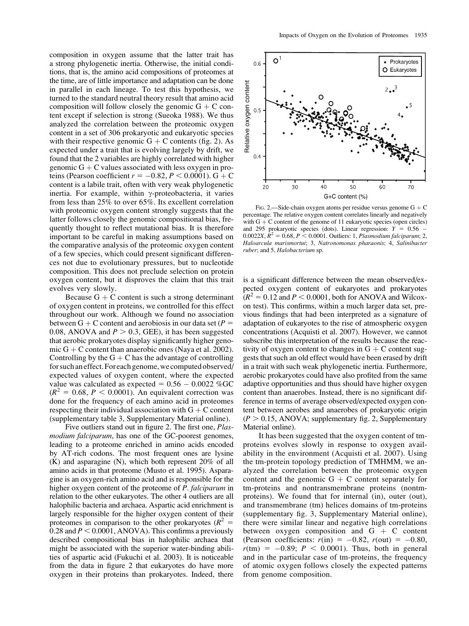composition in oxygen assume that the latter trait has a strong phylogenetic inertia. Otherwise, the initial conditions, that is, the amino acid compositions of proteomes at the time, are of little importance and adaptation can be done in parallel in each lineage. To test this hypothesis, we turned to the standard neutral theory result that amino acid composition will follow closely the genomic  $G + C$  content except if selection is strong (Sueoka 1988). We thus analyzed the correlation between the proteomic oxygen content in a set of 306 prokaryotic and eukaryotic species with their respective genomic  $G + C$  contents (fig. 2). As expected under a trait that is evolving largely by drift, we found that the 2 variables are highly correlated with higher genomic  $G + C$  values associated with less oxygen in proteins (Pearson coefficient  $r = -0.82, P \le 0.0001$ ). G + C content is a labile trait, often with very weak phylogenetic inertia. For example, within  $\gamma$ -proteobacteria, it varies from less than 25% to over 65%. Its excellent correlation with proteomic oxygen content strongly suggests that the latter follows closely the genomic compositional bias, frequently thought to reflect mutational bias. It is therefore important to be careful in making assumptions based on the comparative analysis of the proteomic oxygen content of a few species, which could present significant differences not due to evolutionary pressures, but to nucleotide composition. This does not preclude selection on protein oxygen content, but it disproves the claim that this trait evolves very slowly.

Because  $G + C$  content is such a strong determinant of oxygen content in proteins, we controlled for this effect throughout our work. Although we found no association between G + C content and aerobiosis in our data set ( $P =$ 0.08, ANOVA and  $P > 0.3$ , GEE), it has been suggested that aerobic prokaryotes display significantly higher genomic  $G + C$  content than anaerobic ones (Naya et al. 2002). Controlling by the  $G + C$  has the advantage of controlling forsuchaneffect.Foreachgenome,wecomputedobserved/ expected values of oxygen content, where the expected value was calculated as expected =  $0.56 - 0.0022$  %GC  $(R^2 = 0.68, P < 0.0001)$ . An equivalent correction was done for the frequency of each amino acid in proteomes respecting their individual association with  $G + C$  content (<supplementary table 3, Supplementary Material online>).

Five outliers stand out in figure 2. The first one, Plasmodium falciparum, has one of the GC-poorest genomes, leading to a proteome enriched in amino acids encoded by AT-rich codons. The most frequent ones are lysine (K) and asparagine (N), which both represent 20% of all amino acids in that proteome (Musto et al. 1995). Asparagine is an oxygen-rich amino acid and is responsible for the higher oxygen content of the proteome of *P. falciparum* in relation to the other eukaryotes. The other 4 outliers are all halophilic bacteria and archaea. Aspartic acid enrichment is largely responsible for the higher oxygen content of their proteomes in comparison to the other prokaryotes ( $R^2 =$ 0.28 and  $P < 0.0001$ , ANOVA). This confirms a previously described compositional bias in halophilic archaea that might be associated with the superior water-binding abilities of aspartic acid (Fukuchi et al. 2003). It is noticeable from the data in figure 2 that eukaryotes do have more oxygen in their proteins than prokaryotes. Indeed, there



FIG. 2.—Side-chain oxygen atoms per residue versus genome  $G + C$ percentage. The relative oxygen content correlates linearly and negatively with  $G + C$  content of the genome of 11 eukaryotic species (open circles) and 295 prokaryotic species (dots). Linear regression:  $Y = 0.56$ 0.0022X,  $R^2 = 0.68$ ,  $P < 0.0001$ . Outliers: 1, *Plasmodium falciparum*; 2, Haloarcula marismortui; 3, Natronomonas pharaonis; 4, Salinibacter ruber; and 5, Halobacterium sp.

is a significant difference between the mean observed/expected oxygen content of eukaryotes and prokaryotes  $(R^2 = 0.12$  and  $P < 0.0001$ , both for ANOVA and Wilcoxon test). This confirms, within a much larger data set, previous findings that had been interpreted as a signature of adaptation of eukaryotes to the rise of atmospheric oxygen concentrations (Acquisti et al. 2007). However, we cannot subscribe this interpretation of the results because the reactivity of oxygen content to changes in  $G + C$  content suggests that such an old effect would have been erased by drift in a trait with such weak phylogenetic inertia. Furthermore, aerobic prokaryotes could have also profited from the same adaptive opportunities and thus should have higher oxygen content than anaerobes. Instead, there is no significant difference in terms of average observed/expected oxygen content between aerobes and anaerobes of prokaryotic origin  $(P > 0.15, ANOVA;$  [supplementary fig. 2, Supplementary](supplementary fig. 6, Supplementary Material online) [Material online](supplementary fig. 6, Supplementary Material online)).

It has been suggested that the oxygen content of tmproteins evolves slowly in response to oxygen availability in the environment (Acquisti et al. 2007). Using the tm-protein topology prediction of TMHMM, we analyzed the correlation between the proteomic oxygen content and the genomic  $G + C$  content separately for tm-proteins and nontransmembrane proteins (nontmproteins). We found that for internal (in), outer (out), and transmembrane (tm) helices domains of tm-proteins [\(supplementary fig. 3, Supplementary Material online](supplementary fig. 6, Supplementary Material online)), there were similar linear and negative high correlations between oxygen composition and  $G + C$  content (Pearson coefficients:  $r(in) = -0.82$ ,  $r(out) = -0.80$ ,  $r(tm) = -0.89$ ;  $P < 0.0001$ ). Thus, both in general and in the particular case of tm-proteins, the frequency of atomic oxygen follows closely the expected patterns from genome composition.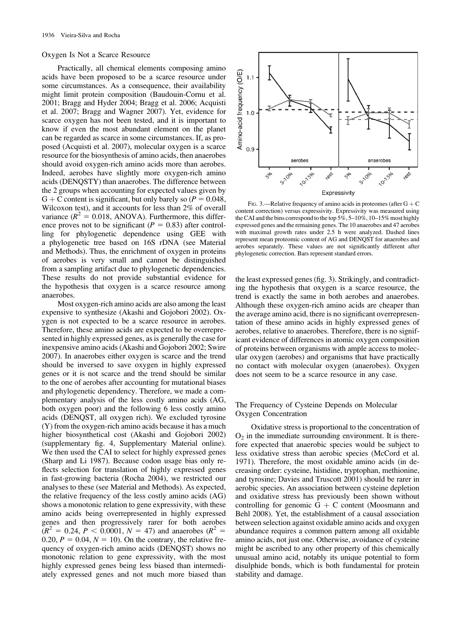#### Oxygen Is Not a Scarce Resource

Practically, all chemical elements composing amino acids have been proposed to be a scarce resource under some circumstances. As a consequence, their availability might limit protein composition (Baudouin-Cornu et al. 2001; Bragg and Hyder 2004; Bragg et al. 2006; Acquisti et al. 2007; Bragg and Wagner 2007). Yet, evidence for scarce oxygen has not been tested, and it is important to know if even the most abundant element on the planet can be regarded as scarce in some circumstances. If, as proposed (Acquisti et al. 2007), molecular oxygen is a scarce resource for the biosynthesis of amino acids, then anaerobes should avoid oxygen-rich amino acids more than aerobes. Indeed, aerobes have slightly more oxygen-rich amino acids (DENQSTY) than anaerobes. The difference between the 2 groups when accounting for expected values given by G + C content is significant, but only barely so  $(P = 0.048,$ Wilcoxon test), and it accounts for less than 2% of overall variance ( $R^2 = 0.018$ , ANOVA). Furthermore, this difference proves not to be significant ( $P = 0.83$ ) after controlling for phylogenetic dependence using GEE with a phylogenetic tree based on 16S rDNA (see Material and Methods). Thus, the enrichment of oxygen in proteins of aerobes is very small and cannot be distinguished from a sampling artifact due to phylogenetic dependencies. These results do not provide substantial evidence for the hypothesis that oxygen is a scarce resource among anaerobes.

Most oxygen-rich amino acids are also among the least expensive to synthesize (Akashi and Gojobori 2002). Oxygen is not expected to be a scarce resource in aerobes. Therefore, these amino acids are expected to be overrepresented in highly expressed genes, as is generally the case for inexpensive amino acids (Akashi and Gojobori 2002; Swire 2007). In anaerobes either oxygen is scarce and the trend should be inversed to save oxygen in highly expressed genes or it is not scarce and the trend should be similar to the one of aerobes after accounting for mutational biases and phylogenetic dependency. Therefore, we made a complementary analysis of the less costly amino acids (AG, both oxygen poor) and the following 6 less costly amino acids (DENQST, all oxygen rich). We excluded tyrosine (Y) from the oxygen-rich amino acids because it has a much higher biosynthetical cost (Akashi and Gojobori 2002) [\(supplementary fig. 4, Supplementary Material online](supplementary fig. 6, Supplementary Material online)). We then used the CAI to select for highly expressed genes (Sharp and Li 1987). Because codon usage bias only reflects selection for translation of highly expressed genes in fast-growing bacteria (Rocha 2004), we restricted our analyses to these (see Material and Methods). As expected, the relative frequency of the less costly amino acids (AG) shows a monotonic relation to gene expressivity, with these amino acids being overrepresented in highly expressed genes and then progressively rarer for both aerobes  $(R^{2} = 0.24, P < 0.0001, N = 47)$  and anaerobes  $(R^{2} = 0.24, P < 0.0001, N = 47)$ 0.20,  $P = 0.04$ ,  $N = 10$ ). On the contrary, the relative frequency of oxygen-rich amino acids (DENQST) shows no monotonic relation to gene expressivity, with the most highly expressed genes being less biased than intermediately expressed genes and not much more biased than



FIG. 3.—Relative frequency of amino acids in proteomes (after  $G + C$ content correction) versus expressivity. Expressivity was measured using the CAI and the bins correspond to the top 5%, 5–10%, 10–15% most highly expressed genes and the remaining genes. The 10 anaerobes and 47 aerobes with maximal growth rates under 2.5 h were analyzed. Dashed lines represent mean proteomic content of AG and DENQST for anaerobes and aerobes separately. These values are not significantly different after phylogenetic correction. Bars represent standard errors.

the least expressed genes (fig. 3). Strikingly, and contradicting the hypothesis that oxygen is a scarce resource, the trend is exactly the same in both aerobes and anaerobes. Although these oxygen-rich amino acids are cheaper than the average amino acid, there is no significant overrepresentation of these amino acids in highly expressed genes of aerobes, relative to anaerobes. Therefore, there is no significant evidence of differences in atomic oxygen composition of proteins between organisms with ample access to molecular oxygen (aerobes) and organisms that have practically no contact with molecular oxygen (anaerobes). Oxygen does not seem to be a scarce resource in any case.

## The Frequency of Cysteine Depends on Molecular Oxygen Concentration

Oxidative stress is proportional to the concentration of  $O<sub>2</sub>$  in the immediate surrounding environment. It is therefore expected that anaerobic species would be subject to less oxidative stress than aerobic species (McCord et al. 1971). Therefore, the most oxidable amino acids (in decreasing order: cysteine, histidine, tryptophan, methionine, and tyrosine; Davies and Truscott 2001) should be rarer in aerobic species. An association between cysteine depletion and oxidative stress has previously been shown without controlling for genomic  $G + C$  content (Moosmann and Behl 2008). Yet, the establishment of a causal association between selection against oxidable amino acids and oxygen abundance requires a common pattern among all oxidable amino acids, not just one. Otherwise, avoidance of cysteine might be ascribed to any other property of this chemically unusual amino acid, notably its unique potential to form disulphide bonds, which is both fundamental for protein stability and damage.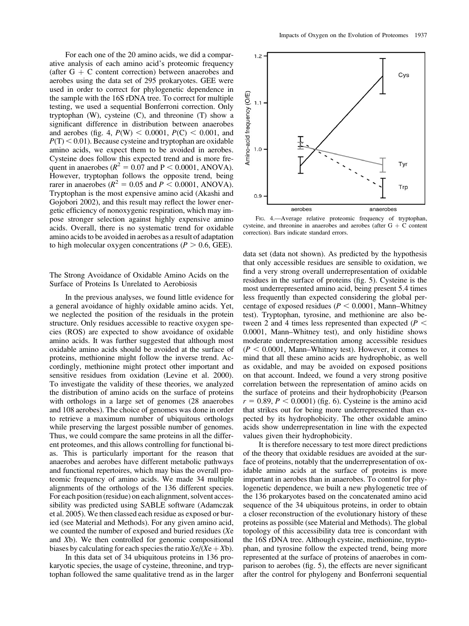For each one of the 20 amino acids, we did a comparative analysis of each amino acid's proteomic frequency (after  $G + C$  content correction) between anaerobes and aerobes using the data set of 295 prokaryotes. GEE were used in order to correct for phylogenetic dependence in the sample with the 16S rDNA tree. To correct for multiple testing, we used a sequential Bonferroni correction. Only tryptophan (W), cysteine (C), and threonine (T) show a significant difference in distribution between anaerobes and aerobes (fig. 4,  $P(W)$  < 0.0001,  $P(C)$  < 0.001, and  $P(T)$  < 0.01). Because cysteine and tryptophan are oxidable amino acids, we expect them to be avoided in aerobes. Cysteine does follow this expected trend and is more frequent in anaerobes ( $R^2 = 0.07$  and P < 0.0001, ANOVA). However, tryptophan follows the opposite trend, being rarer in anaerobes ( $R^2 = 0.05$  and  $P \le 0.0001$ , ANOVA). Tryptophan is the most expensive amino acid (Akashi and Gojobori 2002), and this result may reflect the lower energetic efficiency of nonoxygenic respiration, which may impose stronger selection against highly expensive amino acids. Overall, there is no systematic trend for oxidable amino acids to be avoided in aerobes as a result of adaptation to high molecular oxygen concentrations ( $P > 0.6$ , GEE).

## The Strong Avoidance of Oxidable Amino Acids on the Surface of Proteins Is Unrelated to Aerobiosis

In the previous analyses, we found little evidence for a general avoidance of highly oxidable amino acids. Yet, we neglected the position of the residuals in the protein structure. Only residues accessible to reactive oxygen species (ROS) are expected to show avoidance of oxidable amino acids. It was further suggested that although most oxidable amino acids should be avoided at the surface of proteins, methionine might follow the inverse trend. Accordingly, methionine might protect other important and sensitive residues from oxidation (Levine et al. 2000). To investigate the validity of these theories, we analyzed the distribution of amino acids on the surface of proteins with orthologs in a large set of genomes (28 anaerobes and 108 aerobes). The choice of genomes was done in order to retrieve a maximum number of ubiquitous orthologs while preserving the largest possible number of genomes. Thus, we could compare the same proteins in all the different proteomes, and this allows controlling for functional bias. This is particularly important for the reason that anaerobes and aerobes have different metabolic pathways and functional repertoires, which may bias the overall proteomic frequency of amino acids. We made 34 multiple alignments of the orthologs of the 136 different species. For each position (residue) on each alignment, solvent accessibility was predicted using SABLE software (Adamczak et al. 2005). We then classed each residue as exposed or buried (see Material and Methods). For any given amino acid, we counted the number of exposed and buried residues (Xe and Xb). We then controlled for genomic compositional biases by calculating for each species the ratio  $Xe/(Xe + Xb)$ .

In this data set of 34 ubiquitous proteins in 136 prokaryotic species, the usage of cysteine, threonine, and tryptophan followed the same qualitative trend as in the larger



FIG. 4.—Average relative proteomic frequency of tryptophan, cysteine, and threonine in anaerobes and aerobes (after  $G + C$  content correction). Bars indicate standard errors.

data set (data not shown). As predicted by the hypothesis that only accessible residues are sensible to oxidation, we find a very strong overall underrepresentation of oxidable residues in the surface of proteins (fig. 5). Cysteine is the most underrepresented amino acid, being present 5.4 times less frequently than expected considering the global percentage of exposed residues ( $P < 0.0001$ , Mann–Whitney test). Tryptophan, tyrosine, and methionine are also between 2 and 4 times less represented than expected ( $P$  < 0.0001, Mann–Whitney test), and only histidine shows moderate underrepresentation among accessible residues  $(P < 0.0001$ , Mann–Whitney test). However, it comes to mind that all these amino acids are hydrophobic, as well as oxidable, and may be avoided on exposed positions on that account. Indeed, we found a very strong positive correlation between the representation of amino acids on the surface of proteins and their hydrophobicity (Pearson  $r = 0.89, P < 0.0001$ ) (fig. 6). Cysteine is the amino acid that strikes out for being more underrepresented than expected by its hydrophobicity. The other oxidable amino acids show underrepresentation in line with the expected values given their hydrophobicity.

It is therefore necessary to test more direct predictions of the theory that oxidable residues are avoided at the surface of proteins, notably that the underrepresentation of oxidable amino acids at the surface of proteins is more important in aerobes than in anaerobes. To control for phylogenetic dependence, we built a new phylogenetic tree of the 136 prokaryotes based on the concatenated amino acid sequence of the 34 ubiquitous proteins, in order to obtain a closer reconstruction of the evolutionary history of these proteins as possible (see Material and Methods). The global topology of this accessibility data tree is concordant with the 16S rDNA tree. Although cysteine, methionine, tryptophan, and tyrosine follow the expected trend, being more represented at the surface of proteins of anaerobes in comparison to aerobes (fig. 5), the effects are never significant after the control for phylogeny and Bonferroni sequential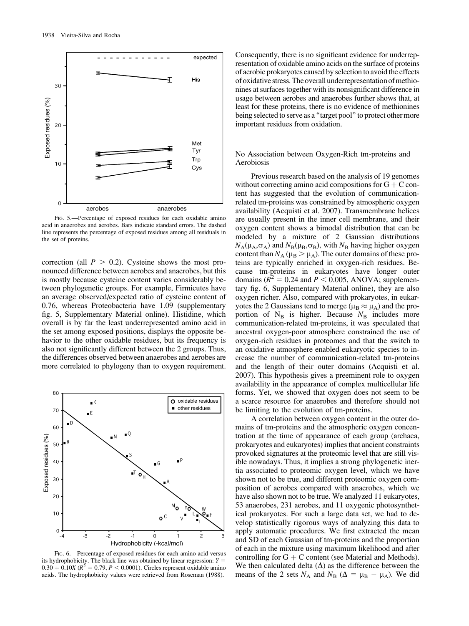

FIG. 5.—Percentage of exposed residues for each oxidable amino acid in anaerobes and aerobes. Bars indicate standard errors. The dashed line represents the percentage of exposed residues among all residuals in the set of proteins.

correction (all  $P > 0.2$ ). Cysteine shows the most pronounced difference between aerobes and anaerobes, but this is mostly because cysteine content varies considerably between phylogenetic groups. For example, Firmicutes have an average observed/expected ratio of cysteine content of 0.76, whereas Proteobacteria have 1.09 ([supplementary](supplementary fig. 6, Supplementary Material online) [fig. 5, Supplementary Material online\)](supplementary fig. 6, Supplementary Material online). Histidine, which overall is by far the least underrepresented amino acid in the set among exposed positions, displays the opposite behavior to the other oxidable residues, but its frequency is also not significantly different between the 2 groups. Thus, the differences observed between anaerobes and aerobes are more correlated to phylogeny than to oxygen requirement.



FIG. 6.—Percentage of exposed residues for each amino acid versus its hydrophobicity. The black line was obtained by linear regression:  $Y =$  $0.30 + 0.10X$  ( $R^2 = 0.79$ ,  $P < 0.0001$ ). Circles represent oxidable amino acids. The hydrophobicity values were retrieved from Roseman (1988).

Consequently, there is no significant evidence for underrepresentation of oxidable amino acids on the surface of proteins of aerobic prokaryotes caused by selection to avoid the effects ofoxidative stress. Theoverallunderrepresentationofmethionines at surfaces together with its nonsignificant difference in usage between aerobes and anaerobes further shows that, at least for these proteins, there is no evidence of methionines being selected to serve as a ''target pool'' to protect other more important residues from oxidation.

## No Association between Oxygen-Rich tm-proteins and Aerobiosis

Previous research based on the analysis of 19 genomes without correcting amino acid compositions for  $G + C$  content has suggested that the evolution of communicationrelated tm-proteins was constrained by atmospheric oxygen availability (Acquisti et al. 2007). Transmembrane helices are usually present in the inner cell membrane, and their oxygen content shows a bimodal distribution that can be modeled by a mixture of 2 Gaussian distributions  $N_A(\mu_A,\sigma_A)$  and  $N_B(\mu_B,\sigma_B)$ , with  $N_B$  having higher oxygen content than  $N_A$  ( $\mu_B > \mu_A$ ). The outer domains of these proteins are typically enriched in oxygen-rich residues. Because tm-proteins in eukaryotes have longer outer domains ( $R^2 = 0.24$  and  $P < 0.005$ , ANOVA; [supplemen](supplementary fig. 6, Supplementary Material online)[tary fig. 6, Supplementary Material online\)](supplementary fig. 6, Supplementary Material online), they are also oxygen richer. Also, compared with prokaryotes, in eukaryotes the 2 Gaussians tend to merge ( $\mu_B \approx \mu_A$ ) and the proportion of  $N_B$  is higher. Because  $N_B$  includes more communication-related tm-proteins, it was speculated that ancestral oxygen-poor atmosphere constrained the use of oxygen-rich residues in proteomes and that the switch to an oxidative atmosphere enabled eukaryotic species to increase the number of communication-related tm-proteins and the length of their outer domains (Acquisti et al. 2007). This hypothesis gives a preeminent role to oxygen availability in the appearance of complex multicellular life forms. Yet, we showed that oxygen does not seem to be a scarce resource for anaerobes and therefore should not be limiting to the evolution of tm-proteins.

A correlation between oxygen content in the outer domains of tm-proteins and the atmospheric oxygen concentration at the time of appearance of each group (archaea, prokaryotes and eukaryotes) implies that ancient constraints provoked signatures at the proteomic level that are still visible nowadays. Thus, it implies a strong phylogenetic inertia associated to proteomic oxygen level, which we have shown not to be true, and different proteomic oxygen composition of aerobes compared with anaerobes, which we have also shown not to be true. We analyzed 11 eukaryotes, 53 anaerobes, 231 aerobes, and 11 oxygenic photosynthetical prokaryotes. For such a large data set, we had to develop statistically rigorous ways of analyzing this data to apply automatic procedures. We first extracted the mean and SD of each Gaussian of tm-proteins and the proportion of each in the mixture using maximum likelihood and after controlling for  $G + C$  content (see Material and Methods). We then calculated delta  $(\Delta)$  as the difference between the means of the 2 sets  $N_A$  and  $N_B$  ( $\Delta = \mu_B - \mu_A$ ). We did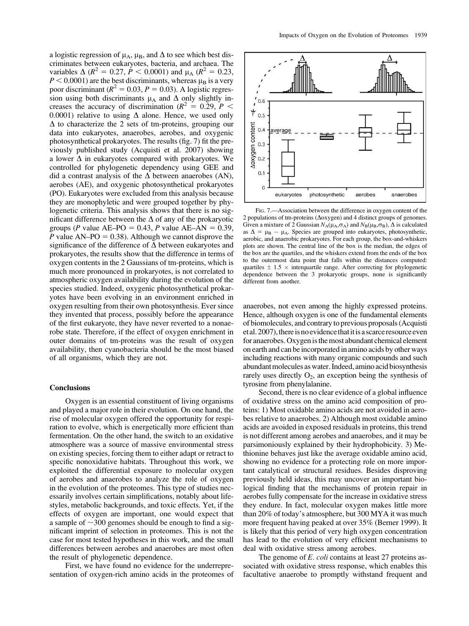a logistic regression of  $\mu_A$ ,  $\mu_B$ , and  $\Delta$  to see which best discriminates between eukaryotes, bacteria, and archaea. The variables  $\Delta (R^2 = 0.27, P < 0.0001)$  and  $\mu_A (R^2 = 0.23, P$  $P < 0.0001$ ) are the best discriminants, whereas  $\mu_B$  is a very poor discriminant ( $R^2 = 0.03$ ,  $P = 0.03$ ). A logistic regression using both discriminants  $\mu_A$  and  $\Delta$  only slightly increases the accuracy of discrimination ( $R^2 = 0.29$ ,  $P <$ 0.0001) relative to using  $\Delta$  alone. Hence, we used only  $\Delta$  to characterize the 2 sets of tm-proteins, grouping our data into eukaryotes, anaerobes, aerobes, and oxygenic photosynthetical prokaryotes. The results (fig. 7) fit the previously published study (Acquisti et al. 2007) showing a lower  $\Delta$  in eukaryotes compared with prokaryotes. We controlled for phylogenetic dependency using GEE and did a contrast analysis of the  $\Delta$  between anaerobes (AN), aerobes (AE), and oxygenic photosynthetical prokaryotes (PO). Eukaryotes were excluded from this analysis because they are monophyletic and were grouped together by phylogenetic criteria. This analysis shows that there is no significant difference between the  $\Delta$  of any of the prokaryotic groups (P value AE–PO = 0.43, P value AE–AN = 0.39, P value  $AN-PO = 0.38$ ). Although we cannot disprove the significance of the difference of  $\Delta$  between eukaryotes and prokaryotes, the results show that the difference in terms of oxygen contents in the 2 Gaussians of tm-proteins, which is much more pronounced in prokaryotes, is not correlated to atmospheric oxygen availability during the evolution of the species studied. Indeed, oxygenic photosynthetical prokaryotes have been evolving in an environment enriched in oxygen resulting from their own photosynthesis. Ever since they invented that process, possibly before the appearance of the first eukaryote, they have never reverted to a nonaerobe state. Therefore, if the effect of oxygen enrichment in outer domains of tm-proteins was the result of oxygen availability, then cyanobacteria should be the most biased of all organisms, which they are not.

#### **Conclusions**

Oxygen is an essential constituent of living organisms and played a major role in their evolution. On one hand, the rise of molecular oxygen offered the opportunity for respiration to evolve, which is energetically more efficient than fermentation. On the other hand, the switch to an oxidative atmosphere was a source of massive environmental stress on existing species, forcing them to either adapt or retract to specific nonoxidative habitats. Throughout this work, we exploited the differential exposure to molecular oxygen of aerobes and anaerobes to analyze the role of oxygen in the evolution of the proteomes. This type of studies necessarily involves certain simplifications, notably about lifestyles, metabolic backgrounds, and toxic effects. Yet, if the effects of oxygen are important, one would expect that a sample of  $\sim$ 300 genomes should be enough to find a significant imprint of selection in proteomes. This is not the case for most tested hypotheses in this work, and the small differences between aerobes and anaerobes are most often the result of phylogenetic dependence.

First, we have found no evidence for the underrepresentation of oxygen-rich amino acids in the proteomes of



FIG. 7.—Association between the difference in oxygen content of the 2 populations of tm-proteins ( $\Delta$ oxygen) and 4 distinct groups of genomes. Given a mixture of 2 Gaussian  $N_A(\mu_A, \sigma_A)$  and  $N_B(\mu_B, \sigma_B)$ ,  $\Delta$  is calculated as  $\Delta = \mu_B - \mu_A$ . Species are grouped into eukaryotes, photosynthetic, aerobic, and anaerobic prokaryotes. For each group, the box-and-whiskers plots are shown. The central line of the box is the median, the edges of the box are the quartiles, and the whiskers extend from the ends of the box to the outermost data point that falls within the distances computed: quartiles  $\pm$  1.5  $\times$  interquartile range. After correcting for phylogenetic dependence between the 3 prokaryotic groups, none is significantly different from another.

anaerobes, not even among the highly expressed proteins. Hence, although oxygen is one of the fundamental elements of biomolecules, and contrary to previous proposals (Acquisti et al. 2007), there is no evidence that it is a scarce resource even for anaerobes. Oxygen is the most abundant chemical element on earth and can be incorporated in amino acids by other ways including reactions with many organic compounds and such abundant molecules as water. Indeed, amino acid biosynthesis rarely uses directly  $O_2$ , an exception being the synthesis of tyrosine from phenylalanine.

Second, there is no clear evidence of a global influence of oxidative stress on the amino acid composition of proteins: 1) Most oxidable amino acids are not avoided in aerobes relative to anaerobes. 2) Although most oxidable amino acids are avoided in exposed residuals in proteins, this trend is not different among aerobes and anaerobes, and it may be parsimoniously explained by their hydrophobicity. 3) Methionine behaves just like the average oxidable amino acid, showing no evidence for a protecting role on more important catalytical or structural residues. Besides disproving previously held ideas, this may uncover an important biological finding that the mechanisms of protein repair in aerobes fully compensate for the increase in oxidative stress they endure. In fact, molecular oxygen makes little more than 20% of today's atmosphere, but 300 MYA it was much more frequent having peaked at over 35% (Berner 1999). It is likely that this period of very high oxygen concentration has lead to the evolution of very efficient mechanisms to deal with oxidative stress among aerobes.

The genome of *E. coli* contains at least 27 proteins associated with oxidative stress response, which enables this facultative anaerobe to promptly withstand frequent and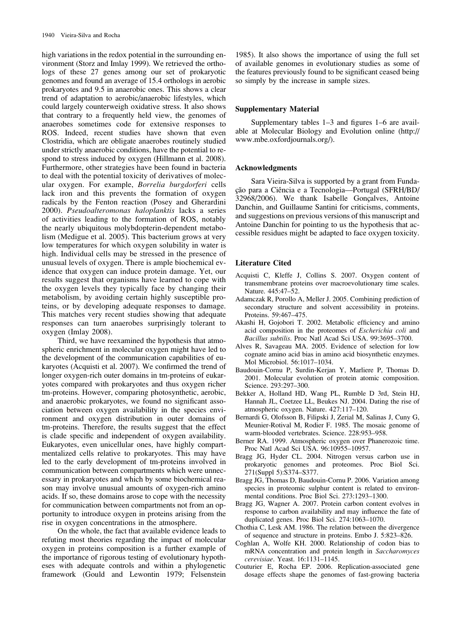high variations in the redox potential in the surrounding environment (Storz and Imlay 1999). We retrieved the orthologs of these 27 genes among our set of prokaryotic genomes and found an average of 15.4 orthologs in aerobic prokaryotes and 9.5 in anaerobic ones. This shows a clear trend of adaptation to aerobic/anaerobic lifestyles, which could largely counterweigh oxidative stress. It also shows that contrary to a frequently held view, the genomes of anaerobes sometimes code for extensive responses to ROS. Indeed, recent studies have shown that even Clostridia, which are obligate anaerobes routinely studied under strictly anaerobic conditions, have the potential to respond to stress induced by oxygen (Hillmann et al. 2008). Furthermore, other strategies have been found in bacteria to deal with the potential toxicity of derivatives of molecular oxygen. For example, Borrelia burgdorferi cells lack iron and this prevents the formation of oxygen radicals by the Fenton reaction (Posey and Gherardini 2000). Pseudoalteromonas haloplanktis lacks a series of activities leading to the formation of ROS, notably the nearly ubiquitous molybdopterin-dependent metabolism (Medigue et al. 2005). This bacterium grows at very low temperatures for which oxygen solubility in water is high. Individual cells may be stressed in the presence of unusual levels of oxygen. There is ample biochemical evidence that oxygen can induce protein damage. Yet, our results suggest that organisms have learned to cope with the oxygen levels they typically face by changing their metabolism, by avoiding certain highly susceptible proteins, or by developing adequate responses to damage. This matches very recent studies showing that adequate responses can turn anaerobes surprisingly tolerant to oxygen (Imlay 2008).

Third, we have reexamined the hypothesis that atmospheric enrichment in molecular oxygen might have led to the development of the communication capabilities of eukaryotes (Acquisti et al. 2007). We confirmed the trend of longer oxygen-rich outer domains in tm-proteins of eukaryotes compared with prokaryotes and thus oxygen richer tm-proteins. However, comparing photosynthetic, aerobic, and anaerobic prokaryotes, we found no significant association between oxygen availability in the species environment and oxygen distribution in outer domains of tm-proteins. Therefore, the results suggest that the effect is clade specific and independent of oxygen availability. Eukaryotes, even unicellular ones, have highly compartmentalized cells relative to prokaryotes. This may have led to the early development of tm-proteins involved in communication between compartments which were unnecessary in prokaryotes and which by some biochemical reason may involve unusual amounts of oxygen-rich amino acids. If so, these domains arose to cope with the necessity for communication between compartments not from an opportunity to introduce oxygen in proteins arising from the rise in oxygen concentrations in the atmosphere.

On the whole, the fact that available evidence leads to refuting most theories regarding the impact of molecular oxygen in proteins composition is a further example of the importance of rigorous testing of evolutionary hypotheses with adequate controls and within a phylogenetic framework (Gould and Lewontin 1979; Felsenstein

1985). It also shows the importance of using the full set of available genomes in evolutionary studies as some of the features previously found to be significant ceased being so simply by the increase in sample sizes.

## Supplementary Material

<Supplementary tables 1–3 and figures 1–6> are available at Molecular Biology and Evolution online ([http://](http://www.mbe.oxfordjournals.org/) [www.mbe.oxfordjournals.org/](http://www.mbe.oxfordjournals.org/)).

#### Acknowledgments

Sara Vieira-Silva is supported by a grant from Fundação para a Ciência e a Tecnologia-Portugal (SFRH/BD/ 32968/2006). We thank Isabelle Gonçalves, Antoine Danchin, and Guillaume Santini for criticisms, comments, and suggestions on previous versions of this manuscript and Antoine Danchin for pointing to us the hypothesis that accessible residues might be adapted to face oxygen toxicity.

#### Literature Cited

- Acquisti C, Kleffe J, Collins S. 2007. Oxygen content of transmembrane proteins over macroevolutionary time scales. Nature. 445:47–52.
- Adamczak R, Porollo A, Meller J. 2005. Combining prediction of secondary structure and solvent accessibility in proteins. Proteins. 59:467–475.
- Akashi H, Gojobori T. 2002. Metabolic efficiency and amino acid composition in the proteomes of Escherichia coli and Bacillus subtilis. Proc Natl Acad Sci USA. 99:3695–3700.
- Alves R, Savageau MA. 2005. Evidence of selection for low cognate amino acid bias in amino acid biosynthetic enzymes. Mol Microbiol. 56:1017–1034.
- Baudouin-Cornu P, Surdin-Kerjan Y, Marliere P, Thomas D. 2001. Molecular evolution of protein atomic composition. Science. 293:297–300.
- Bekker A, Holland HD, Wang PL, Rumble D 3rd, Stein HJ, Hannah JL, Coetzee LL, Beukes NJ. 2004. Dating the rise of atmospheric oxygen. Nature. 427:117–120.
- Bernardi G, Olofsson B, Filipski J, Zerial M, Salinas J, Cuny G, Meunier-Rotival M, Rodier F. 1985. The mosaic genome of warm-blooded vertebrates. Science. 228:953–958.
- Berner RA. 1999. Atmospheric oxygen over Phanerozoic time. Proc Natl Acad Sci USA. 96:10955–10957.
- Bragg JG, Hyder CL. 2004. Nitrogen versus carbon use in prokaryotic genomes and proteomes. Proc Biol Sci. 271(Suppl 5):S374–S377.
- Bragg JG, Thomas D, Baudouin-Cornu P. 2006. Variation among species in proteomic sulphur content is related to environmental conditions. Proc Biol Sci. 273:1293–1300.
- Bragg JG, Wagner A. 2007. Protein carbon content evolves in response to carbon availability and may influence the fate of duplicated genes. Proc Biol Sci. 274:1063–1070.
- Chothia C, Lesk AM. 1986. The relation between the divergence of sequence and structure in proteins. Embo J. 5:823–826.
- Coghlan A, Wolfe KH. 2000. Relationship of codon bias to mRNA concentration and protein length in Saccharomyces cerevisiae. Yeast. 16:1131–1145.
- Couturier E, Rocha EP. 2006. Replication-associated gene dosage effects shape the genomes of fast-growing bacteria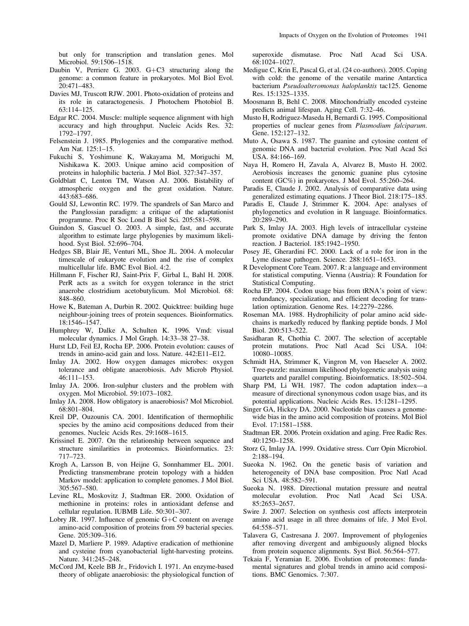but only for transcription and translation genes. Mol Microbiol. 59:1506–1518.

- Daubin V, Perriere G. 2003.  $G + C3$  structuring along the genome: a common feature in prokaryotes. Mol Biol Evol. 20:471–483.
- Davies MJ, Truscott RJW. 2001. Photo-oxidation of proteins and its role in cataractogenesis. J Photochem Photobiol B. 63:114–125.
- Edgar RC. 2004. Muscle: multiple sequence alignment with high accuracy and high throughput. Nucleic Acids Res. 32: 1792–1797.
- Felsenstein J. 1985. Phylogenies and the comparative method. Am Nat. 125:1–15.
- Fukuchi S, Yoshimune K, Wakayama M, Moriguchi M, Nishikawa K. 2003. Unique amino acid composition of proteins in halophilic bacteria. J Mol Biol. 327:347–357.
- Goldblatt C, Lenton TM, Watson AJ. 2006. Bistability of atmospheric oxygen and the great oxidation. Nature. 443:683–686.
- Gould SJ, Lewontin RC. 1979. The spandrels of San Marco and the Panglossian paradigm: a critique of the adaptationist programme. Proc R Soc Lond B Biol Sci. 205:581–598.
- Guindon S, Gascuel O. 2003. A simple, fast, and accurate algorithm to estimate large phylogenies by maximum likelihood. Syst Biol. 52:696–704.
- Hedges SB, Blair JE, Venturi ML, Shoe JL. 2004. A molecular timescale of eukaryote evolution and the rise of complex multicellular life. BMC Evol Biol. 4:2.
- Hillmann F, Fischer RJ, Saint-Prix F, Girbal L, Bahl H. 2008. PerR acts as a switch for oxygen tolerance in the strict anaerobe clostridium acetobutylicum. Mol Microbiol. 68: 848–860.
- Howe K, Bateman A, Durbin R. 2002. Quicktree: building huge neighbour-joining trees of protein sequences. Bioinformatics. 18:1546–1547.
- Humphrey W, Dalke A, Schulten K. 1996. Vmd: visual molecular dynamics. J Mol Graph. 14:33–38 27–38.
- Hurst LD, Feil EJ, Rocha EP. 2006. Protein evolution: causes of trends in amino-acid gain and loss. Nature. 442:E11–E12.
- Imlay JA. 2002. How oxygen damages microbes: oxygen tolerance and obligate anaerobiosis. Adv Microb Physiol. 46:111–153.
- Imlay JA. 2006. Iron-sulphur clusters and the problem with oxygen. Mol Microbiol. 59:1073–1082.
- Imlay JA. 2008. How obligatory is anaerobiosis? Mol Microbiol. 68:801–804.
- Kreil DP, Ouzounis CA. 2001. Identification of thermophilic species by the amino acid compositions deduced from their genomes. Nucleic Acids Res. 29:1608–1615.
- Krissinel E. 2007. On the relationship between sequence and structure similarities in proteomics. Bioinformatics. 23: 717–723.
- Krogh A, Larsson B, von Heijne G, Sonnhammer EL. 2001. Predicting transmembrane protein topology with a hidden Markov model: application to complete genomes. J Mol Biol. 305:567–580.
- Levine RL, Moskovitz J, Stadtman ER. 2000. Oxidation of methionine in proteins: roles in antioxidant defense and cellular regulation. IUBMB Life. 50:301–307.
- Lobry JR. 1997. Influence of genomic  $G+C$  content on average amino-acid composition of proteins from 59 bacterial species. Gene. 205:309–316.
- Mazel D, Marliere P. 1989. Adaptive eradication of methionine and cysteine from cyanobacterial light-harvesting proteins. Nature. 341:245–248.
- McCord JM, Keele BB Jr., Fridovich I. 1971. An enzyme-based theory of obligate anaerobiosis: the physiological function of

superoxide dismutase. Proc Natl Acad Sci USA. 68:1024–1027.

- Medigue C, Krin E, Pascal G, et al. (24 co-authors). 2005. Coping with cold: the genome of the versatile marine Antarctica bacterium Pseudoalteromonas haloplanktis tac125. Genome Res. 15:1325–1335.
- Moosmann B, Behl C. 2008. Mitochondrially encoded cysteine predicts animal lifespan. Aging Cell. 7:32–46.
- Musto H, Rodriguez-Maseda H, Bernardi G. 1995. Compositional properties of nuclear genes from Plasmodium falciparum. Gene. 152:127–132.
- Muto A, Osawa S. 1987. The guanine and cytosine content of genomic DNA and bacterial evolution. Proc Natl Acad Sci USA. 84:166–169.
- Naya H, Romero H, Zavala A, Alvarez B, Musto H. 2002. Aerobiosis increases the genomic guanine plus cytosine content (GC%) in prokaryotes. J Mol Evol. 55:260–264.
- Paradis E, Claude J. 2002. Analysis of comparative data using generalized estimating equations. J Theor Biol. 218:175–185.
- Paradis E, Claude J, Strimmer K. 2004. Ape: analyses of phylogenetics and evolution in R language. Bioinformatics. 20:289–290.
- Park S, Imlay JA. 2003. High levels of intracellular cysteine promote oxidative DNA damage by driving the fenton reaction. J Bacteriol. 185:1942–1950.
- Posey JE, Gherardini FC. 2000. Lack of a role for iron in the Lyme disease pathogen. Science. 288:1651–1653.
- R Development Core Team. 2007. R: a language and environment for statistical computing. Vienna (Austria): R Foundation for Statistical Computing.
- Rocha EP. 2004. Codon usage bias from tRNA's point of view: redundancy, specialization, and efficient decoding for translation optimization. Genome Res. 14:2279–2286.
- Roseman MA. 1988. Hydrophilicity of polar amino acid sidechains is markedly reduced by flanking peptide bonds. J Mol Biol. 200:513–522.
- Sasidharan R, Chothia C. 2007. The selection of acceptable protein mutations. Proc Natl Acad Sci USA. 104: 10080–10085.
- Schmidt HA, Strimmer K, Vingron M, von Haeseler A. 2002. Tree-puzzle: maximum likelihood phylogenetic analysis using quartets and parallel computing. Bioinformatics. 18:502–504.
- Sharp PM, Li WH. 1987. The codon adaptation index—a measure of directional synonymous codon usage bias, and its potential applications. Nucleic Acids Res. 15:1281–1295.
- Singer GA, Hickey DA. 2000. Nucleotide bias causes a genomewide bias in the amino acid composition of proteins. Mol Biol Evol. 17:1581–1588.
- Stadtman ER. 2006. Protein oxidation and aging. Free Radic Res. 40:1250–1258.
- Storz G, Imlay JA. 1999. Oxidative stress. Curr Opin Microbiol. 2:188–194.
- Sueoka N. 1962. On the genetic basis of variation and heterogeneity of DNA base composition. Proc Natl Acad Sci USA. 48:582–591.
- Sueoka N. 1988. Directional mutation pressure and neutral molecular evolution. Proc Natl Acad Sci USA. 85:2653–2657.
- Swire J. 2007. Selection on synthesis cost affects interprotein amino acid usage in all three domains of life. J Mol Evol. 64:558–571.
- Talavera G, Castresana J. 2007. Improvement of phylogenies after removing divergent and ambiguously aligned blocks from protein sequence alignments. Syst Biol. 56:564–577.
- Tekaia F, Yeramian E. 2006. Evolution of proteomes: fundamental signatures and global trends in amino acid compositions. BMC Genomics. 7:307.